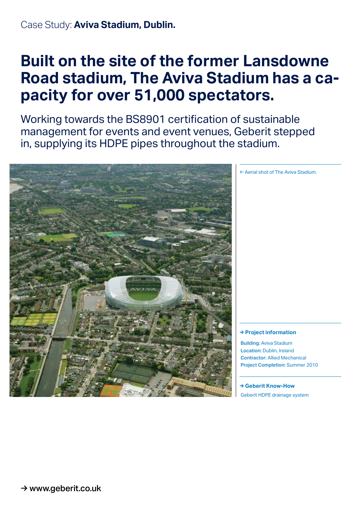## **Built on the site of the former Lansdowne Road stadium, The Aviva Stadium has a capacity for over 51,000 spectators.**

Working towards the BS8901 certification of sustainable management for events and event venues, Geberit stepped in, supplying its HDPE pipes throughout the stadium.



← Aerial shot of The Aviva Stadium.

## **→ Project information**

Building: Aviva Stadium Location: Dublin, Ireland Contractor: Allied Mechanical Project Completion: Summer 2010

**→ Geberit Know-How** Geberit HDPE drainage system